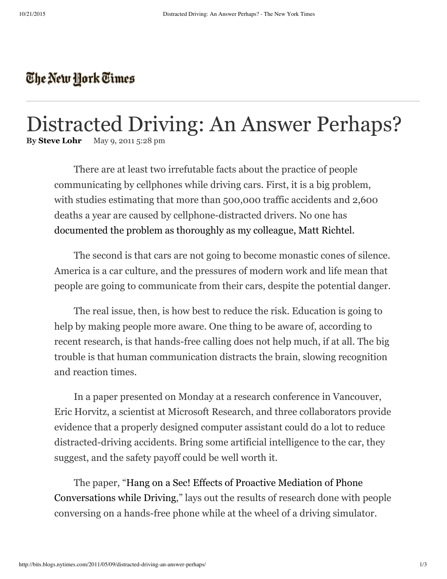## The New York Times

## Distracted Driving: An Answer Perhaps? **By Steve Lohr** May 9, 2011 5:28 pm

There are at least two irrefutable facts about the practice of people communicating by cellphones while driving cars. First, it is a big problem, with studies estimating that more than 500,000 traffic accidents and 2,600 deaths a year are caused by cellphone-distracted drivers. No one has documented the problem as thoroughly as my colleague, Matt Richtel.

The second is that cars are not going to become monastic cones of silence. America is a car culture, and the pressures of modern work and life mean that people are going to communicate from their cars, despite the potential danger.

The real issue, then, is how best to reduce the risk. Education is going to help by making people more aware. One thing to be aware of, according to recent research, is that hands-free calling does not help much, if at all. The big trouble is that human communication distracts the brain, slowing recognition and reaction times.

In a paper presented on Monday at a research conference in Vancouver, Eric Horvitz, a scientist at Microsoft Research, and three collaborators provide evidence that a properly designed computer assistant could do a lot to reduce distracted-driving accidents. Bring some artificial intelligence to the car, they suggest, and the safety payoff could be well worth it.

The paper, "Hang on a Sec! Effects of Proactive Mediation of Phone Conversations while Driving," lays out the results of research done with people conversing on a hands-free phone while at the wheel of a driving simulator.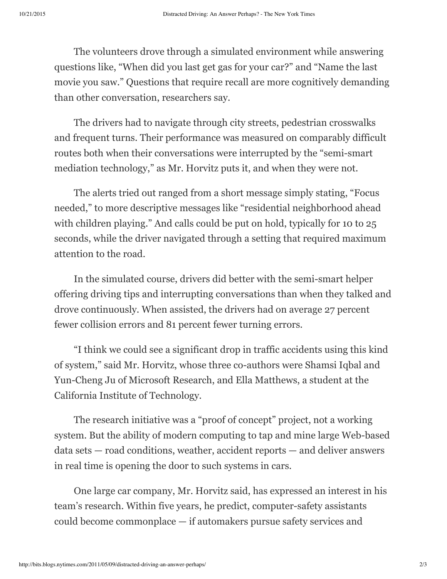The volunteers drove through a simulated environment while answering questions like, "When did you last get gas for your car?" and "Name the last movie you saw." Questions that require recall are more cognitively demanding than other conversation, researchers say.

The drivers had to navigate through city streets, pedestrian crosswalks and frequent turns. Their performance was measured on comparably difficult routes both when their conversations were interrupted by the "semi-smart mediation technology," as Mr. Horvitz puts it, and when they were not.

The alerts tried out ranged from a short message simply stating, "Focus needed," to more descriptive messages like "residential neighborhood ahead with children playing." And calls could be put on hold, typically for 10 to 25 seconds, while the driver navigated through a setting that required maximum attention to the road.

In the simulated course, drivers did better with the semi-smart helper offering driving tips and interrupting conversations than when they talked and drove continuously. When assisted, the drivers had on average 27 percent fewer collision errors and 81 percent fewer turning errors.

"I think we could see a significant drop in traffic accidents using this kind of system," said Mr. Horvitz, whose three co-authors were Shamsi Iqbal and Yun-Cheng Ju of Microsoft Research, and Ella Matthews, a student at the California Institute of Technology.

The research initiative was a "proof of concept" project, not a working system. But the ability of modern computing to tap and mine large Web-based data sets — road conditions, weather, accident reports — and deliver answers in real time is opening the door to such systems in cars.

One large car company, Mr. Horvitz said, has expressed an interest in his team's research. Within five years, he predict, computer-safety assistants could become commonplace — if automakers pursue safety services and